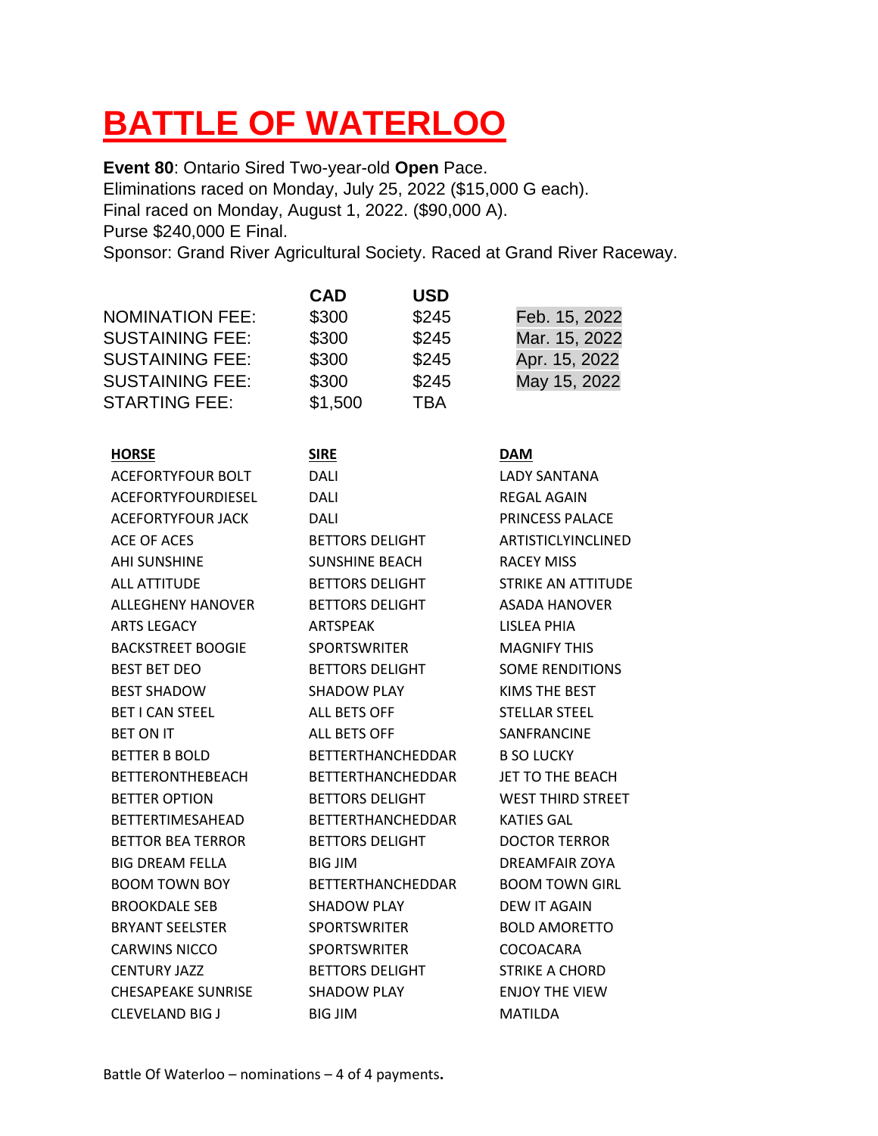# **BATTLE OF WATERLOO**

**Event 80**: Ontario Sired Two-year-old **Open** Pace. Eliminations raced on Monday, July 25, 2022 (\$15,000 G each). Final raced on Monday, August 1, 2022. (\$90,000 A). Purse \$240,000 E Final. Sponsor: Grand River Agricultural Society. Raced at Grand River Raceway.

|                           | <b>CAD</b>               | <b>USD</b> |                           |
|---------------------------|--------------------------|------------|---------------------------|
| <b>NOMINATION FEE:</b>    | \$300                    | \$245      | Feb. 15, 2022             |
| <b>SUSTAINING FEE:</b>    | \$300                    | \$245      | Mar. 15, 2022             |
| <b>SUSTAINING FEE:</b>    | \$300                    | \$245      | Apr. 15, 2022             |
| <b>SUSTAINING FEE:</b>    | \$300                    | \$245      | May 15, 2022              |
| <b>STARTING FEE:</b>      | \$1,500                  | <b>TBA</b> |                           |
| <b>HORSE</b>              | <b>SIRE</b>              |            | <b>DAM</b>                |
| <b>ACEFORTYFOUR BOLT</b>  | DALI                     |            | <b>LADY SANTANA</b>       |
| ACEFORTYFOURDIESEL        | DALI                     |            | <b>REGAL AGAIN</b>        |
| <b>ACEFORTYFOUR JACK</b>  | <b>DALI</b>              |            | PRINCESS PALACE           |
| <b>ACE OF ACES</b>        | <b>BETTORS DELIGHT</b>   |            | ARTISTICLYINCLINED        |
| <b>AHI SUNSHINE</b>       | <b>SUNSHINE BEACH</b>    |            | <b>RACEY MISS</b>         |
| <b>ALL ATTITUDE</b>       | <b>BETTORS DELIGHT</b>   |            | <b>STRIKE AN ATTITUDE</b> |
| <b>ALLEGHENY HANOVER</b>  | <b>BETTORS DELIGHT</b>   |            | ASADA HANOVER             |
| <b>ARTS LEGACY</b>        | ARTSPEAK                 |            | <b>LISLEA PHIA</b>        |
| <b>BACKSTREET BOOGIE</b>  | <b>SPORTSWRITER</b>      |            | <b>MAGNIFY THIS</b>       |
| <b>BEST BET DEO</b>       | <b>BETTORS DELIGHT</b>   |            | <b>SOME RENDITIONS</b>    |
| <b>BEST SHADOW</b>        | <b>SHADOW PLAY</b>       |            | KIMS THE BEST             |
| <b>BET I CAN STEEL</b>    | <b>ALL BETS OFF</b>      |            | <b>STELLAR STEEL</b>      |
| BET ON IT                 | <b>ALL BETS OFF</b>      |            | SANFRANCINE               |
| <b>BETTER B BOLD</b>      | <b>BETTERTHANCHEDDAR</b> |            | <b>B SO LUCKY</b>         |
| <b>BETTERONTHEBEACH</b>   | <b>BETTERTHANCHEDDAR</b> |            | JET TO THE BEACH          |
| <b>BETTER OPTION</b>      | <b>BETTORS DELIGHT</b>   |            | <b>WEST THIRD STREET</b>  |
| BETTERTIMESAHEAD          | <b>BETTERTHANCHEDDAR</b> |            | KATIES GAL                |
| <b>BETTOR BEA TERROR</b>  | <b>BETTORS DELIGHT</b>   |            | <b>DOCTOR TERROR</b>      |
| <b>BIG DREAM FELLA</b>    | <b>BIG JIM</b>           |            | DREAMFAIR ZOYA            |
| <b>BOOM TOWN BOY</b>      | <b>BETTERTHANCHEDDAR</b> |            | <b>BOOM TOWN GIRL</b>     |
| <b>BROOKDALE SEB</b>      | <b>SHADOW PLAY</b>       |            | <b>DEW IT AGAIN</b>       |
| <b>BRYANT SEELSTER</b>    | <b>SPORTSWRITER</b>      |            | <b>BOLD AMORETTO</b>      |
| <b>CARWINS NICCO</b>      | <b>SPORTSWRITER</b>      |            | COCOACARA                 |
| <b>CENTURY JAZZ</b>       | <b>BETTORS DELIGHT</b>   |            | <b>STRIKE A CHORD</b>     |
| <b>CHESAPEAKE SUNRISE</b> | <b>SHADOW PLAY</b>       |            | <b>ENJOY THE VIEW</b>     |
| <b>CLEVELAND BIG J</b>    | <b>BIG JIM</b>           |            | <b>MATILDA</b>            |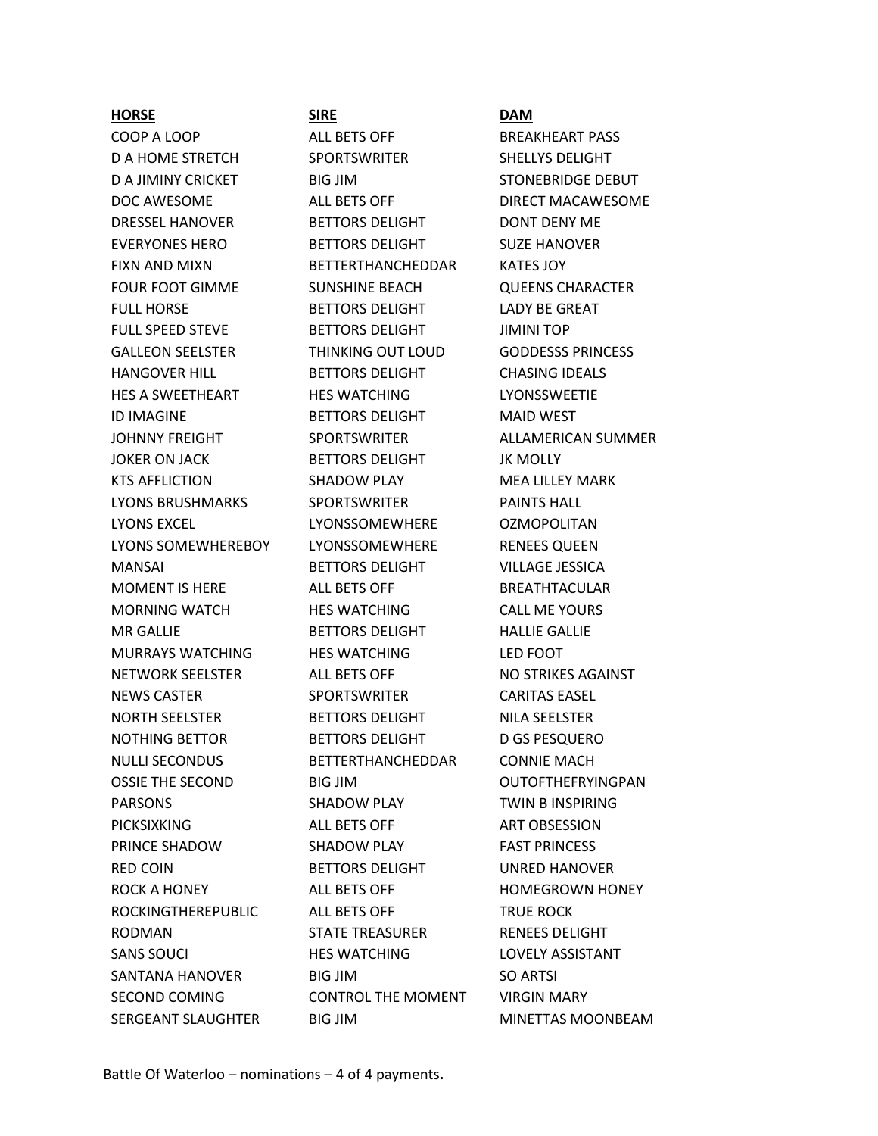## **HORSE SIRE DAM**

COOP A LOOP ALL BETS OFF BREAKHEART PASS D A HOME STRETCH SPORTSWRITER SHELLYS DELIGHT D A JIMINY CRICKET BIG JIM STONEBRIDGE DEBUT DOC AWESOME **ALL BETS OFF LETT DIRECT MACAWESOME** DRESSEL HANOVER BETTORS DELIGHT DONT DENY ME EVERYONES HERO BETTORS DELIGHT SUZE HANOVER FIXN AND MIXN BETTERTHANCHEDDAR KATES JOY FOUR FOOT GIMME SUNSHINE BEACH QUEENS CHARACTER FULL HORSE BETTORS DELIGHT LADY BE GREAT FULL SPEED STEVE BETTORS DELIGHT JIMINI TOP GALLEON SEELSTER THINKING OUT LOUD GODDESSS PRINCESS HANGOVER HILL BETTORS DELIGHT CHASING IDEALS HES A SWEETHEART HES WATCHING LYONSSWEETIE ID IMAGINE BETTORS DELIGHT MAID WEST JOKER ON JACK BETTORS DELIGHT JK MOLLY KTS AFFLICTION SHADOW PLAY MEA LILLEY MARK LYONS BRUSHMARKS SPORTSWRITER PAINTS HALL LYONS EXCEL LYONSSOMEWHERE OZMOPOLITAN LYONS SOMEWHEREBOY LYONSSOMEWHERE RENEES QUEEN MANSAI BETTORS DELIGHT VILLAGE JESSICA MOMENT IS HERE **ALL BETS OFF** BREATHTACULAR MORNING WATCH **HES WATCHING** CALL ME YOURS MR GALLIE BETTORS DELIGHT HALLIE GALLIE MURRAYS WATCHING HES WATCHING LED FOOT NETWORK SEELSTER ALL BETS OFF NO STRIKES AGAINST NEWS CASTER SPORTSWRITER CARITAS EASEL NORTH SEELSTER BETTORS DELIGHT NILA SEELSTER NOTHING BETTOR BETTORS DELIGHT D GS PESQUERO NULLI SECONDUS BETTERTHANCHEDDAR CONNIE MACH OSSIE THE SECOND BIG JIM OUTOFTHEFRYINGPAN PARSONS SHADOW PLAY TWIN B INSPIRING PICKSIXKING ALL BETS OFF ART OBSESSION PRINCE SHADOW SHADOW PLAY FAST PRINCESS RED COIN **BETTORS DELIGHT** UNRED HANOVER ROCK A HONEY **ALL BETS OFF HOMEGROWN HONEY** ROCKINGTHEREPUBLIC ALL BETS OFF TRUE ROCK RODMAN STATE TREASURER RENEES DELIGHT SANS SOUCI HES WATCHING LOVELY ASSISTANT SANTANA HANOVER BIG JIM SO ARTSI SECOND COMING CONTROL THE MOMENT VIRGIN MARY

JOHNNY FREIGHT SPORTSWRITER ALLAMERICAN SUMMER SERGEANT SLAUGHTER BIG JIM MINETTAS MOONBEAM